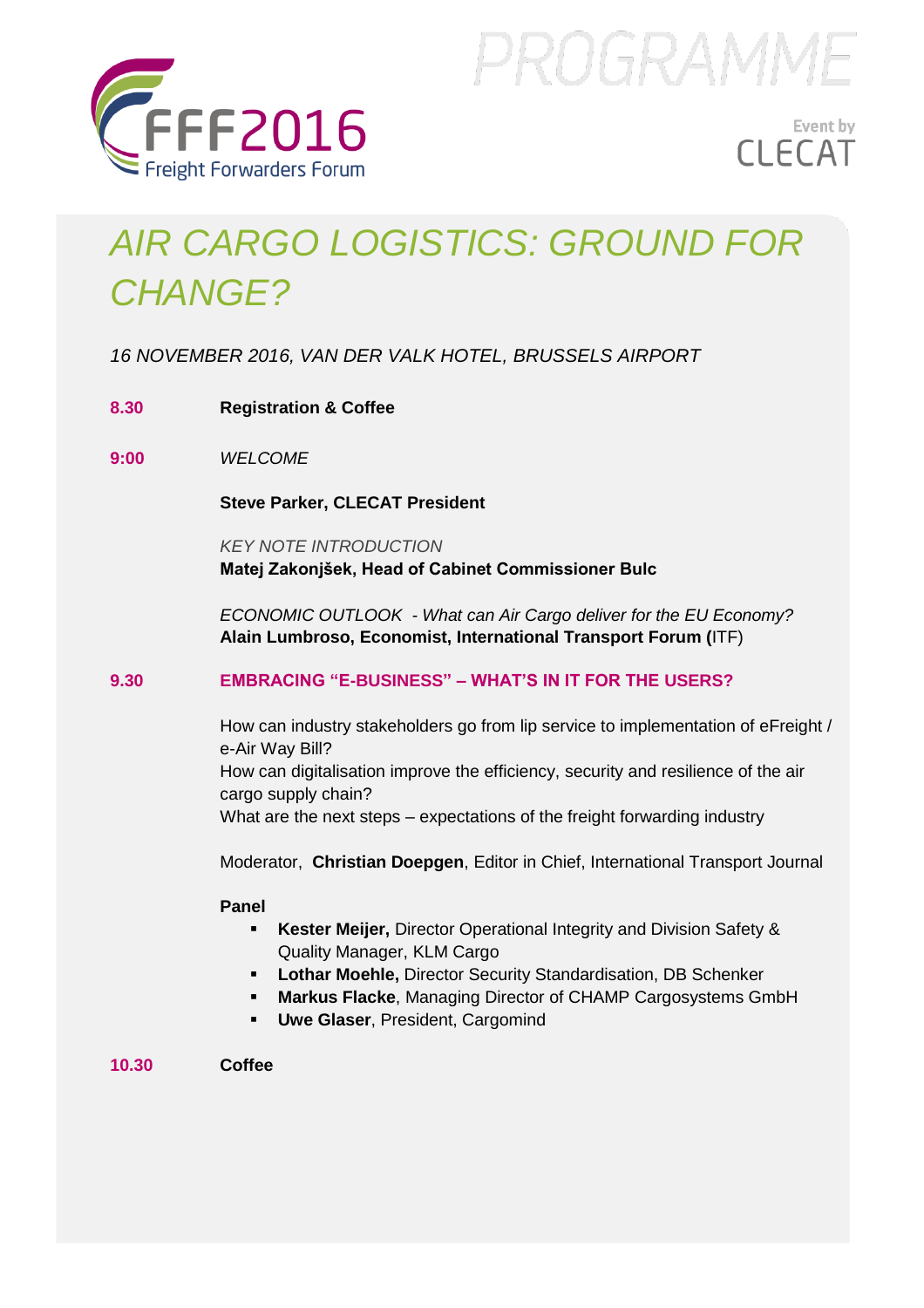

PROGRAMME

# Event by **CLECAT**

# *AIR CARGO LOGISTICS: GROUND FOR CHANGE?*

*16 NOVEMBER 2016, VAN DER VALK HOTEL, BRUSSELS AIRPORT* 

- **8.30 Registration & Coffee**
- **9:00** *WELCOME*

**Steve Parker, CLECAT President** 

*KEY NOTE INTRODUCTION*  **Matej Zakonjšek, Head of Cabinet Commissioner Bulc** 

*ECONOMIC OUTLOOK - What can Air Cargo deliver for the EU Economy?*  **Alain Lumbroso, Economist, International Transport Forum (**ITF)

### **9.30 EMBRACING "E-BUSINESS" – WHAT'S IN IT FOR THE USERS?**

How can industry stakeholders go from lip service to implementation of eFreight / e-Air Way Bill? How can digitalisation improve the efficiency, security and resilience of the air cargo supply chain? What are the next steps – expectations of the freight forwarding industry

Moderator, **Christian Doepgen**, Editor in Chief, International Transport Journal

#### **Panel**

- **Kester Meijer,** Director Operational Integrity and Division Safety & Quality Manager, KLM Cargo
- **Lothar Moehle,** Director Security Standardisation, DB Schenker
- **Markus Flacke**, Managing Director of CHAMP Cargosystems GmbH
- **Uwe Glaser**, President, Cargomind

**10.30 Coffee**